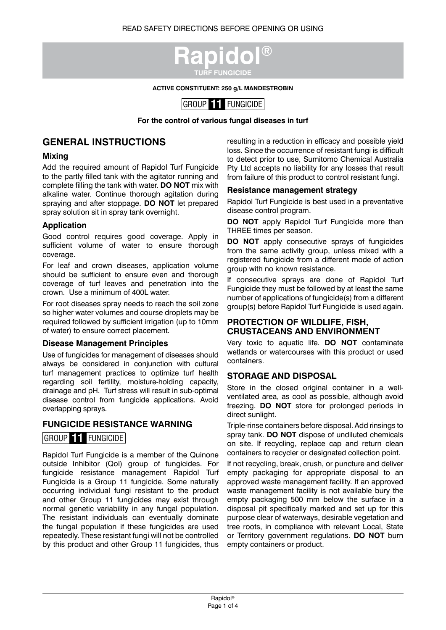

**ACTIVE CONSTITUENT: 250 g/L MANDESTROBIN**



**For the control of various fungal diseases in turf**

## **GENERAL INSTRUCTIONS**

#### **Mixing**

Add the required amount of Rapidol Turf Fungicide to the partly filled tank with the agitator running and complete filling the tank with water. **DO NOT** mix with alkaline water. Continue thorough agitation during spraying and after stoppage. **DO NOT** let prepared spray solution sit in spray tank overnight.

#### **Application**

Good control requires good coverage. Apply in sufficient volume of water to ensure thorough coverage.

For leaf and crown diseases, application volume should be sufficient to ensure even and thorough coverage of turf leaves and penetration into the crown. Use a minimum of 400L water.

For root diseases spray needs to reach the soil zone so higher water volumes and course droplets may be required followed by sufficient irrigation (up to 10mm of water) to ensure correct placement.

#### **Disease Management Principles**

Use of fungicides for management of diseases should always be considered in conjunction with cultural turf management practices to optimize turf health regarding soil fertility, moisture-holding capacity, drainage and pH. Turf stress will result in sub-optimal disease control from fungicide applications. Avoid overlapping sprays.

#### **FUNGICIDE RESISTANCE WARNING**

## GROUP **11** FUNGICIDE

Rapidol Turf Fungicide is a member of the Quinone outside Inhibitor (QoI) group of fungicides. For fungicide resistance management Rapidol Turf Fungicide is a Group 11 fungicide. Some naturally occurring individual fungi resistant to the product and other Group 11 fungicides may exist through normal genetic variability in any fungal population. The resistant individuals can eventually dominate the fungal population if these fungicides are used repeatedly. These resistant fungi will not be controlled by this product and other Group 11 fungicides, thus

resulting in a reduction in efficacy and possible yield loss. Since the occurrence of resistant fungi is difficult to detect prior to use, Sumitomo Chemical Australia Pty Ltd accepts no liability for any losses that result from failure of this product to control resistant fungi.

#### **Resistance management strategy**

Rapidol Turf Fungicide is best used in a preventative disease control program.

**DO NOT** apply Rapidol Turf Fungicide more than THREE times per season.

**DO NOT** apply consecutive sprays of fungicides from the same activity group, unless mixed with a registered fungicide from a different mode of action group with no known resistance.

If consecutive sprays are done of Rapidol Turf Fungicide they must be followed by at least the same number of applications of fungicide(s) from a different group(s) before Rapidol Turf Fungicide is used again.

### **PROTECTION OF WILDLIFE, FISH, CRUSTACEANS AND ENVIRONMENT**

Very toxic to aquatic life. **DO NOT** contaminate wetlands or watercourses with this product or used containers.

#### **STORAGE AND DISPOSAL**

Store in the closed original container in a wellventilated area, as cool as possible, although avoid freezing. **DO NOT** store for prolonged periods in direct sunlight.

Triple-rinse containers before disposal. Add rinsings to spray tank. **DO NOT** dispose of undiluted chemicals on site. If recycling, replace cap and return clean containers to recycler or designated collection point.

If not recycling, break, crush, or puncture and deliver empty packaging for appropriate disposal to an approved waste management facility. If an approved waste management facility is not available bury the empty packaging 500 mm below the surface in a disposal pit specifically marked and set up for this purpose clear of waterways, desirable vegetation and tree roots, in compliance with relevant Local, State or Territory government regulations. **DO NOT** burn empty containers or product.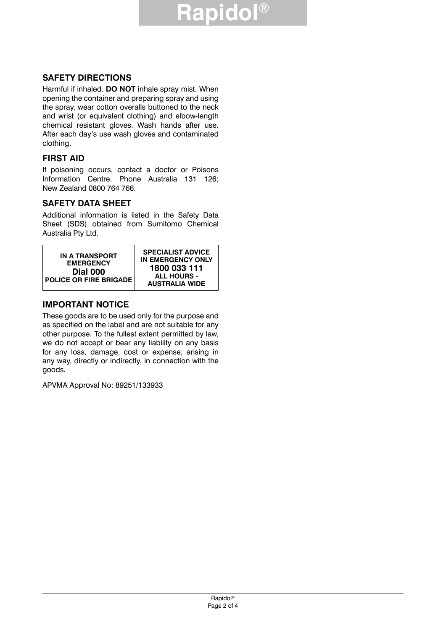# **Rapidol®**

## **SAFETY DIRECTIONS**

Harmful if inhaled. **DO NOT** inhale spray mist. When opening the container and preparing spray and using the spray, wear cotton overalls buttoned to the neck and wrist (or equivalent clothing) and elbow-length chemical resistant gloves. Wash hands after use. After each day's use wash gloves and contaminated clothing.

### **FIRST AID**

If poisoning occurs, contact a doctor or Poisons Information Centre. Phone Australia 131 126; New Zealand 0800 764 766.

## **SAFETY DATA SHEET**

Additional information is listed in the Safety Data Sheet (SDS) obtained from Sumitomo Chemical Australia Pty Ltd.



## **IMPORTANT NOTICE**

These goods are to be used only for the purpose and as specified on the label and are not suitable for any other purpose. To the fullest extent permitted by law, we do not accept or bear any liability on any basis for any loss, damage, cost or expense, arising in any way, directly or indirectly, in connection with the goods.

APVMA Approval No: 89251/133933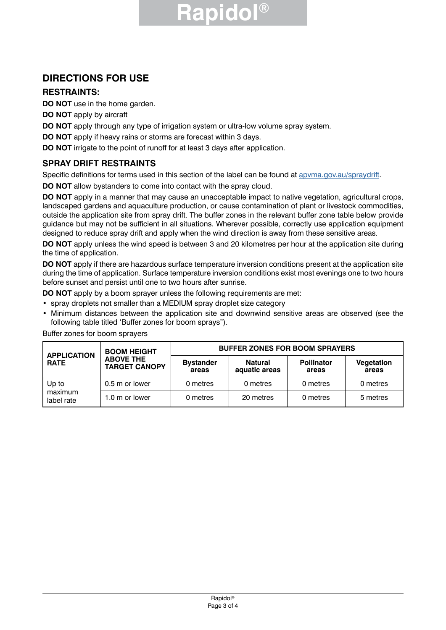# **Rapidol®**

# **DIRECTIONS FOR USE**

## **RESTRAINTS:**

**DO NOT** use in the home garden.

**DO NOT** apply by aircraft

**DO NOT** apply through any type of irrigation system or ultra-low volume spray system.

**DO NOT** apply if heavy rains or storms are forecast within 3 days.

**DO NOT** irrigate to the point of runoff for at least 3 days after application.

## **SPRAY DRIFT RESTRAINTS**

Specific definitions for terms used in this section of the label can be found at apyma.gov.au/spraydrift.

**DO NOT** allow bystanders to come into contact with the spray cloud.

**DO NOT** apply in a manner that may cause an unacceptable impact to native vegetation, agricultural crops, landscaped gardens and aquaculture production, or cause contamination of plant or livestock commodities, outside the application site from spray drift. The buffer zones in the relevant buffer zone table below provide guidance but may not be sufficient in all situations. Wherever possible, correctly use application equipment designed to reduce spray drift and apply when the wind direction is away from these sensitive areas.

**DO NOT** apply unless the wind speed is between 3 and 20 kilometres per hour at the application site during the time of application.

**DO NOT** apply if there are hazardous surface temperature inversion conditions present at the application site during the time of application. Surface temperature inversion conditions exist most evenings one to two hours before sunset and persist until one to two hours after sunrise.

**DO NOT** apply by a boom sprayer unless the following requirements are met:

- spray droplets not smaller than a MEDIUM spray droplet size category
- Minimum distances between the application site and downwind sensitive areas are observed (see the following table titled 'Buffer zones for boom sprays").

Buffer zones for boom sprayers

| <b>APPLICATION</b><br><b>RATE</b> | <b>BOOM HEIGHT</b><br><b>ABOVE THE</b><br><b>TARGET CANOPY</b> | <b>BUFFER ZONES FOR BOOM SPRAYERS</b> |                                 |                            |                     |
|-----------------------------------|----------------------------------------------------------------|---------------------------------------|---------------------------------|----------------------------|---------------------|
|                                   |                                                                | <b>Bystander</b><br>areas             | <b>Natural</b><br>aguatic areas | <b>Pollinator</b><br>areas | Vegetation<br>areas |
| Up to<br>maximum<br>label rate    | 0.5 m or lower                                                 | 0 metres                              | 0 metres                        | 0 metres                   | 0 metres            |
|                                   | 1.0 m or lower                                                 | 0 metres                              | 20 metres                       | 0 metres                   | 5 metres            |